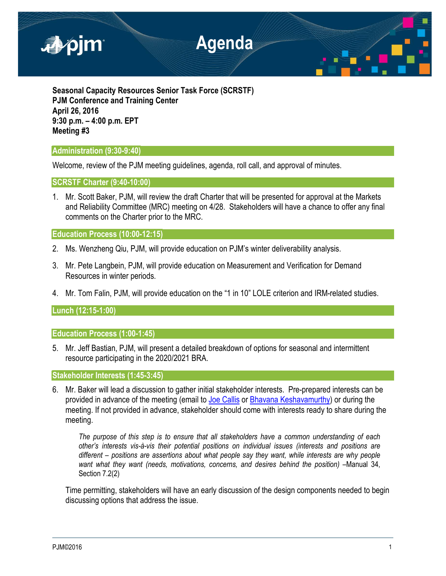

**Seasonal Capacity Resources Senior Task Force (SCRSTF) PJM Conference and Training Center April 26, 2016 9:30 p.m. – 4:00 p.m. EPT Meeting #3**

## **Administration (9:30-9:40)**

Welcome, review of the PJM meeting guidelines, agenda, roll call, and approval of minutes.

## **SCRSTF Charter (9:40-10:00)**

1. Mr. Scott Baker, PJM, will review the draft Charter that will be presented for approval at the Markets and Reliability Committee (MRC) meeting on 4/28. Stakeholders will have a chance to offer any final comments on the Charter prior to the MRC.

**Education Process (10:00-12:15)**

- 2. Ms. Wenzheng Qiu, PJM, will provide education on PJM's winter deliverability analysis.
- 3. Mr. Pete Langbein, PJM, will provide education on Measurement and Verification for Demand Resources in winter periods.
- 4. Mr. Tom Falin, PJM, will provide education on the "1 in 10" LOLE criterion and IRM-related studies.

**Lunch (12:15-1:00)**

**Education Process (1:00-1:45)**

5. Mr. Jeff Bastian, PJM, will present a detailed breakdown of options for seasonal and intermittent resource participating in the 2020/2021 BRA.

**Stakeholder Interests (1:45-3:45)**

6. Mr. Baker will lead a discussion to gather initial stakeholder interests. Pre-prepared interests can be provided in advance of the meeting (email to [Joe Callis](mailto:Joseph.Callis@pjm.com) or [Bhavana Keshavamurthy\)](mailto:bhavana.murthy@pjm.com?subject=SCRSTF%20Stakeholder%20Interests) or during the meeting. If not provided in advance, stakeholder should come with interests ready to share during the meeting.

*The purpose of this step is to ensure that all stakeholders have a common understanding of each other's interests vis-à-vis their potential positions on individual issues (interests and positions are different – positions are assertions about what people say they want, while interests are why people want what they want (needs, motivations, concerns, and desires behind the position) –*Manual 34, Section 7.2(2)

Time permitting, stakeholders will have an early discussion of the design components needed to begin discussing options that address the issue.